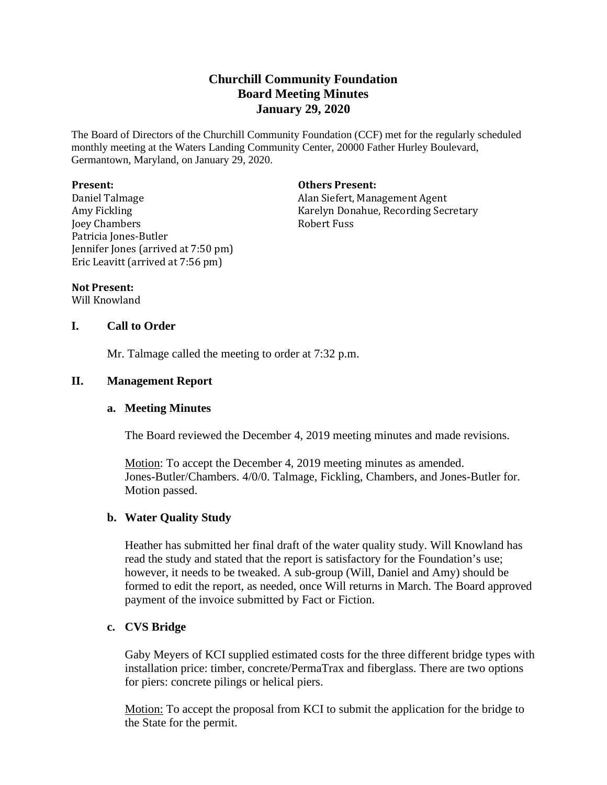# **Churchill Community Foundation Board Meeting Minutes January 29, 2020**

The Board of Directors of the Churchill Community Foundation (CCF) met for the regularly scheduled monthly meeting at the Waters Landing Community Center, 20000 Father Hurley Boulevard, Germantown, Maryland, on January 29, 2020.

#### **Present:**

Daniel Talmage Amy Fickling Joey Chambers Patricia Jones-Butler Jennifer Jones (arrived at 7:50 pm) Eric Leavitt (arrived at 7:56 pm)

#### **Others Present:**

Alan Siefert, Management Agent Karelyn Donahue, Recording Secretary Robert Fuss

#### **Not Present:**

Will Knowland

### **I. Call to Order**

Mr. Talmage called the meeting to order at 7:32 p.m.

### **II. Management Report**

### **a. Meeting Minutes**

The Board reviewed the December 4, 2019 meeting minutes and made revisions.

Motion: To accept the December 4, 2019 meeting minutes as amended. Jones-Butler/Chambers. 4/0/0. Talmage, Fickling, Chambers, and Jones-Butler for. Motion passed.

### **b. Water Quality Study**

Heather has submitted her final draft of the water quality study. Will Knowland has read the study and stated that the report is satisfactory for the Foundation's use; however, it needs to be tweaked. A sub-group (Will, Daniel and Amy) should be formed to edit the report, as needed, once Will returns in March. The Board approved payment of the invoice submitted by Fact or Fiction.

### **c. CVS Bridge**

Gaby Meyers of KCI supplied estimated costs for the three different bridge types with installation price: timber, concrete/PermaTrax and fiberglass. There are two options for piers: concrete pilings or helical piers.

Motion: To accept the proposal from KCI to submit the application for the bridge to the State for the permit.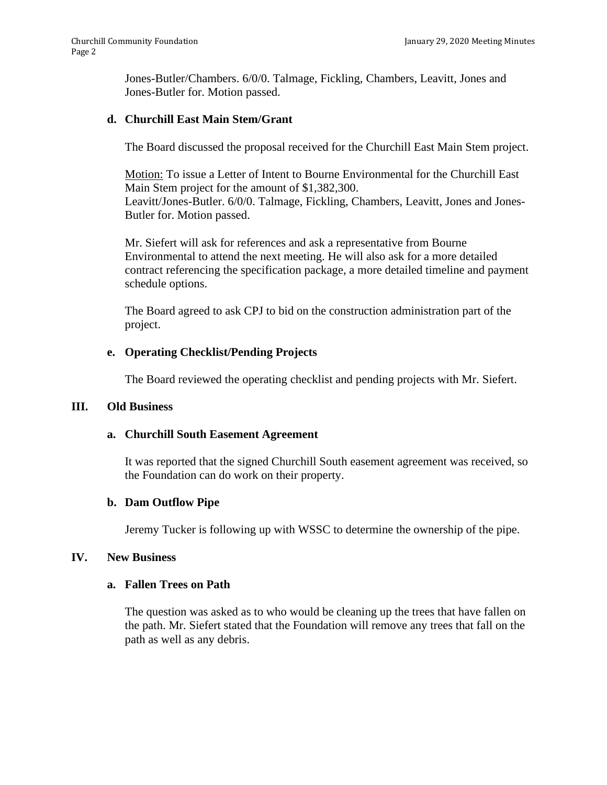Jones-Butler/Chambers. 6/0/0. Talmage, Fickling, Chambers, Leavitt, Jones and Jones-Butler for. Motion passed.

### **d. Churchill East Main Stem/Grant**

The Board discussed the proposal received for the Churchill East Main Stem project.

Motion: To issue a Letter of Intent to Bourne Environmental for the Churchill East Main Stem project for the amount of \$1,382,300. Leavitt/Jones-Butler. 6/0/0. Talmage, Fickling, Chambers, Leavitt, Jones and Jones-Butler for. Motion passed.

Mr. Siefert will ask for references and ask a representative from Bourne Environmental to attend the next meeting. He will also ask for a more detailed contract referencing the specification package, a more detailed timeline and payment schedule options.

The Board agreed to ask CPJ to bid on the construction administration part of the project.

# **e. Operating Checklist/Pending Projects**

The Board reviewed the operating checklist and pending projects with Mr. Siefert.

### **III. Old Business**

### **a. Churchill South Easement Agreement**

It was reported that the signed Churchill South easement agreement was received, so the Foundation can do work on their property.

### **b. Dam Outflow Pipe**

Jeremy Tucker is following up with WSSC to determine the ownership of the pipe.

### **IV. New Business**

### **a. Fallen Trees on Path**

The question was asked as to who would be cleaning up the trees that have fallen on the path. Mr. Siefert stated that the Foundation will remove any trees that fall on the path as well as any debris.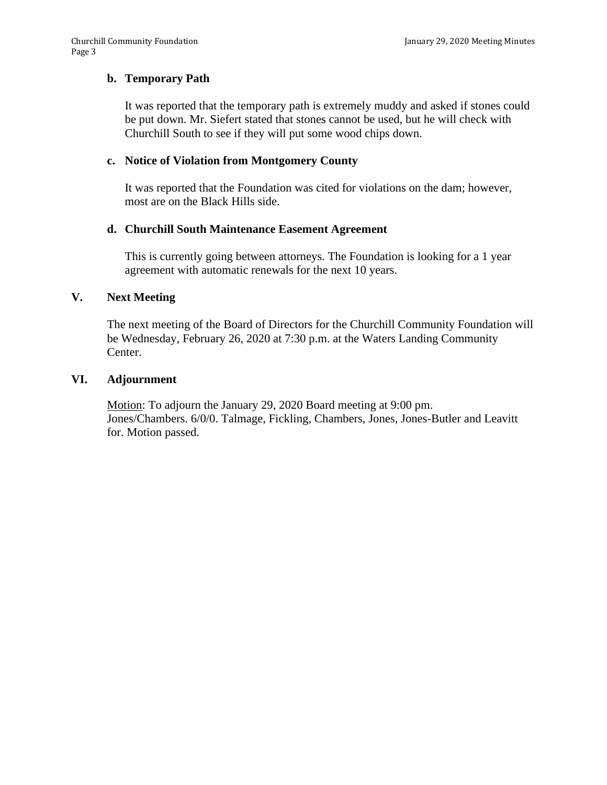### **b. Temporary Path**

It was reported that the temporary path is extremely muddy and asked if stones could be put down. Mr. Siefert stated that stones cannot be used, but he will check with Churchill South to see if they will put some wood chips down.

### **c. Notice of Violation from Montgomery County**

It was reported that the Foundation was cited for violations on the dam; however, most are on the Black Hills side.

### **d. Churchill South Maintenance Easement Agreement**

This is currently going between attorneys. The Foundation is looking for a 1 year agreement with automatic renewals for the next 10 years.

#### **V. Next Meeting**

The next meeting of the Board of Directors for the Churchill Community Foundation will be Wednesday, February 26, 2020 at 7:30 p.m. at the Waters Landing Community Center.

#### **VI. Adjournment**

Motion: To adjourn the January 29, 2020 Board meeting at 9:00 pm. Jones/Chambers. 6/0/0. Talmage, Fickling, Chambers, Jones, Jones-Butler and Leavitt for. Motion passed.